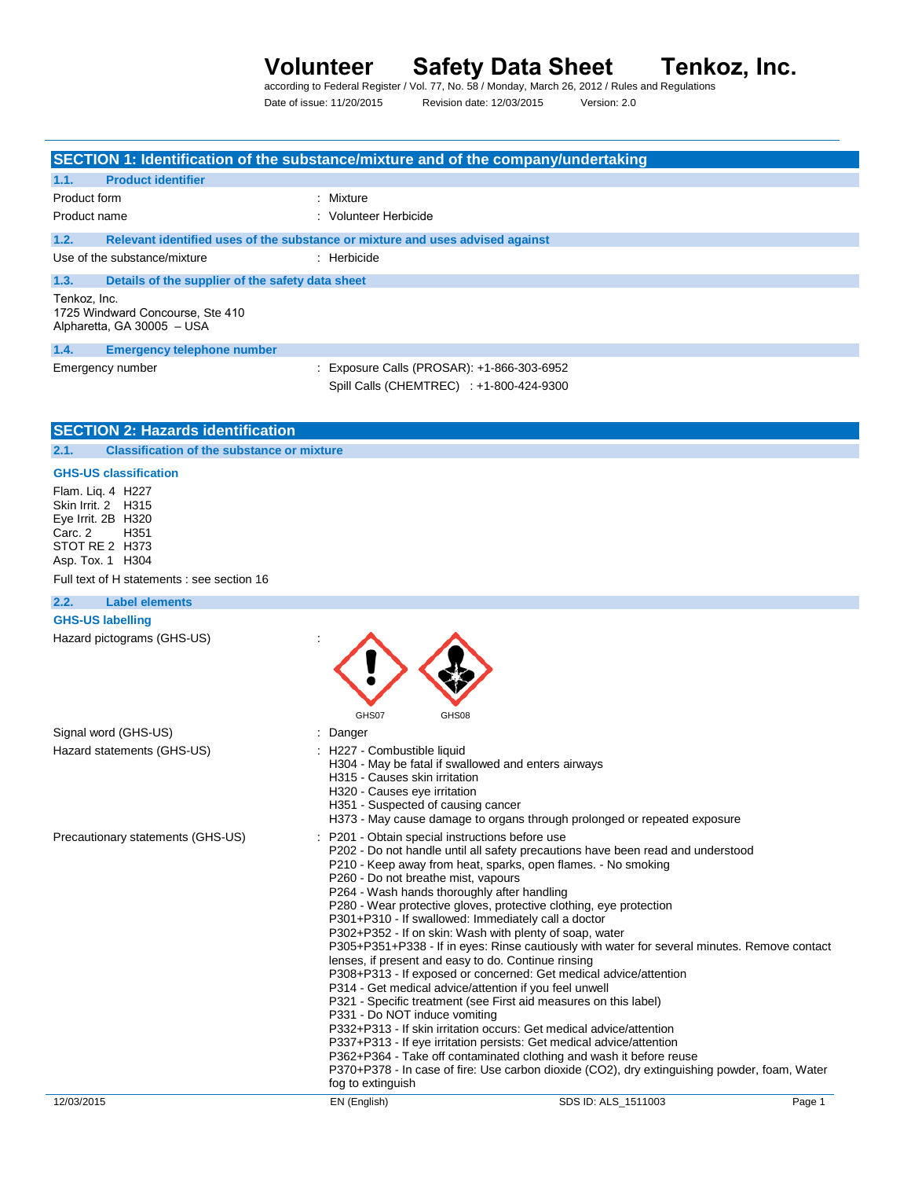# **Volunteer Safety Data Sheet Tenkoz, Inc.**<br>according to Federal Register / Vol. 77, No. 58 / Monday, March 26, 2012 / Rules and Regulations

Date of issue: 11/20/2015 Revision date: 12/03/2015 Version: 2.0

| <b>Product identifier</b><br>1.1.<br>Product form<br>: Mixture<br>: Volunteer Herbicide<br>Product name<br>1.2.<br>Relevant identified uses of the substance or mixture and uses advised against<br>Use of the substance/mixture<br>: Herbicide<br>1.3.<br>Details of the supplier of the safety data sheet<br>Tenkoz, Inc.<br>1725 Windward Concourse, Ste 410<br>Alpharetta, GA 30005 - USA<br>1.4.<br><b>Emergency telephone number</b><br>: Exposure Calls (PROSAR): +1-866-303-6952<br>Emergency number<br>Spill Calls (CHEMTREC) : +1-800-424-9300<br><b>SECTION 2: Hazards identification</b><br><b>Classification of the substance or mixture</b><br>2.1.<br><b>GHS-US classification</b><br>Flam. Liq. 4 H227<br>Skin Irrit. 2 H315<br>Eye Irrit. 2B H320<br>H351<br>Carc. 2<br>STOT RE 2 H373<br>Asp. Tox. 1 H304<br>Full text of H statements : see section 16<br>2.2.<br><b>Label elements</b><br><b>GHS-US labelling</b><br>Hazard pictograms (GHS-US)<br>GHS07<br>GHS08<br>Signal word (GHS-US)<br>Danger                                                                                                                                                                                                                                      |  |
|--------------------------------------------------------------------------------------------------------------------------------------------------------------------------------------------------------------------------------------------------------------------------------------------------------------------------------------------------------------------------------------------------------------------------------------------------------------------------------------------------------------------------------------------------------------------------------------------------------------------------------------------------------------------------------------------------------------------------------------------------------------------------------------------------------------------------------------------------------------------------------------------------------------------------------------------------------------------------------------------------------------------------------------------------------------------------------------------------------------------------------------------------------------------------------------------------------------------------------------------------------------|--|
|                                                                                                                                                                                                                                                                                                                                                                                                                                                                                                                                                                                                                                                                                                                                                                                                                                                                                                                                                                                                                                                                                                                                                                                                                                                              |  |
|                                                                                                                                                                                                                                                                                                                                                                                                                                                                                                                                                                                                                                                                                                                                                                                                                                                                                                                                                                                                                                                                                                                                                                                                                                                              |  |
|                                                                                                                                                                                                                                                                                                                                                                                                                                                                                                                                                                                                                                                                                                                                                                                                                                                                                                                                                                                                                                                                                                                                                                                                                                                              |  |
|                                                                                                                                                                                                                                                                                                                                                                                                                                                                                                                                                                                                                                                                                                                                                                                                                                                                                                                                                                                                                                                                                                                                                                                                                                                              |  |
|                                                                                                                                                                                                                                                                                                                                                                                                                                                                                                                                                                                                                                                                                                                                                                                                                                                                                                                                                                                                                                                                                                                                                                                                                                                              |  |
|                                                                                                                                                                                                                                                                                                                                                                                                                                                                                                                                                                                                                                                                                                                                                                                                                                                                                                                                                                                                                                                                                                                                                                                                                                                              |  |
|                                                                                                                                                                                                                                                                                                                                                                                                                                                                                                                                                                                                                                                                                                                                                                                                                                                                                                                                                                                                                                                                                                                                                                                                                                                              |  |
|                                                                                                                                                                                                                                                                                                                                                                                                                                                                                                                                                                                                                                                                                                                                                                                                                                                                                                                                                                                                                                                                                                                                                                                                                                                              |  |
|                                                                                                                                                                                                                                                                                                                                                                                                                                                                                                                                                                                                                                                                                                                                                                                                                                                                                                                                                                                                                                                                                                                                                                                                                                                              |  |
|                                                                                                                                                                                                                                                                                                                                                                                                                                                                                                                                                                                                                                                                                                                                                                                                                                                                                                                                                                                                                                                                                                                                                                                                                                                              |  |
|                                                                                                                                                                                                                                                                                                                                                                                                                                                                                                                                                                                                                                                                                                                                                                                                                                                                                                                                                                                                                                                                                                                                                                                                                                                              |  |
|                                                                                                                                                                                                                                                                                                                                                                                                                                                                                                                                                                                                                                                                                                                                                                                                                                                                                                                                                                                                                                                                                                                                                                                                                                                              |  |
|                                                                                                                                                                                                                                                                                                                                                                                                                                                                                                                                                                                                                                                                                                                                                                                                                                                                                                                                                                                                                                                                                                                                                                                                                                                              |  |
|                                                                                                                                                                                                                                                                                                                                                                                                                                                                                                                                                                                                                                                                                                                                                                                                                                                                                                                                                                                                                                                                                                                                                                                                                                                              |  |
|                                                                                                                                                                                                                                                                                                                                                                                                                                                                                                                                                                                                                                                                                                                                                                                                                                                                                                                                                                                                                                                                                                                                                                                                                                                              |  |
|                                                                                                                                                                                                                                                                                                                                                                                                                                                                                                                                                                                                                                                                                                                                                                                                                                                                                                                                                                                                                                                                                                                                                                                                                                                              |  |
|                                                                                                                                                                                                                                                                                                                                                                                                                                                                                                                                                                                                                                                                                                                                                                                                                                                                                                                                                                                                                                                                                                                                                                                                                                                              |  |
| Hazard statements (GHS-US)<br>H227 - Combustible liquid<br>H304 - May be fatal if swallowed and enters airways<br>H315 - Causes skin irritation<br>H320 - Causes eye irritation<br>H351 - Suspected of causing cancer<br>H373 - May cause damage to organs through prolonged or repeated exposure                                                                                                                                                                                                                                                                                                                                                                                                                                                                                                                                                                                                                                                                                                                                                                                                                                                                                                                                                            |  |
| Precautionary statements (GHS-US)<br>: P201 - Obtain special instructions before use<br>P202 - Do not handle until all safety precautions have been read and understood<br>P210 - Keep away from heat, sparks, open flames. - No smoking<br>P260 - Do not breathe mist, vapours<br>P264 - Wash hands thoroughly after handling<br>P280 - Wear protective gloves, protective clothing, eye protection<br>P301+P310 - If swallowed: Immediately call a doctor<br>P302+P352 - If on skin: Wash with plenty of soap, water<br>P305+P351+P338 - If in eyes: Rinse cautiously with water for several minutes. Remove contact<br>lenses, if present and easy to do. Continue rinsing<br>P308+P313 - If exposed or concerned: Get medical advice/attention<br>P314 - Get medical advice/attention if you feel unwell<br>P321 - Specific treatment (see First aid measures on this label)<br>P331 - Do NOT induce vomiting<br>P332+P313 - If skin irritation occurs: Get medical advice/attention<br>P337+P313 - If eye irritation persists: Get medical advice/attention<br>P362+P364 - Take off contaminated clothing and wash it before reuse<br>P370+P378 - In case of fire: Use carbon dioxide (CO2), dry extinguishing powder, foam, Water<br>fog to extinguish |  |
| 12/03/2015<br>EN (English)<br>SDS ID: ALS_1511003                                                                                                                                                                                                                                                                                                                                                                                                                                                                                                                                                                                                                                                                                                                                                                                                                                                                                                                                                                                                                                                                                                                                                                                                            |  |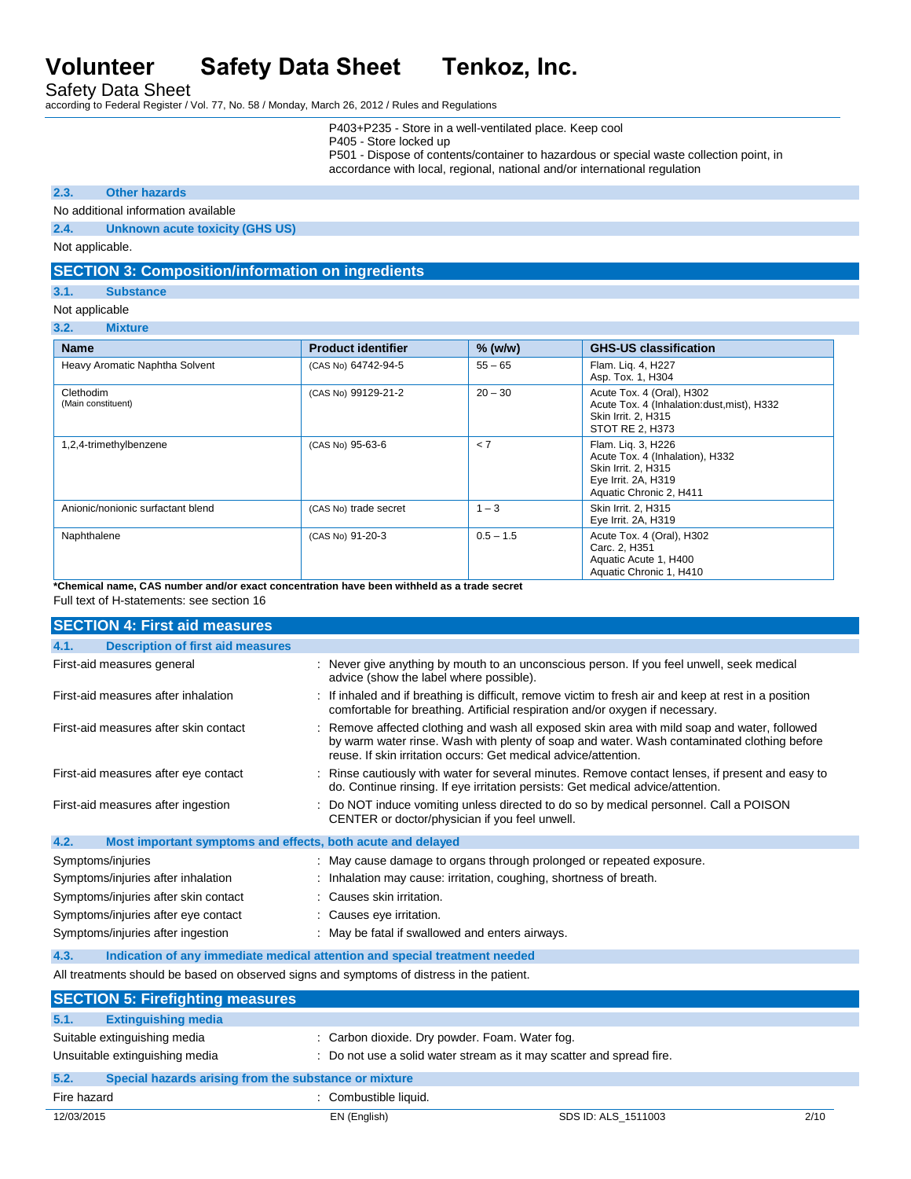Safety Data Sheet

according to Federal Register / Vol. 77, No. 58 / Monday, March 26, 2012 / Rules and Regulations

P403+P235 - Store in a well-ventilated place. Keep cool

P405 - Store locked up

P501 - Dispose of contents/container to hazardous or special waste collection point, in accordance with local, regional, national and/or international regulation

### **2.3. Other hazards**

No additional information available

**2.4. Unknown acute toxicity (GHS US)**

Not applicable.

# **SECTION 3: Composition/information on ingredients**

**3.1. Substance**

Not applicable

**3.2. Mixture**

| <b>Name</b>                       | <b>Product identifier</b> | % (w/w)     | <b>GHS-US classification</b>                                                                                                   |
|-----------------------------------|---------------------------|-------------|--------------------------------------------------------------------------------------------------------------------------------|
| Heavy Aromatic Naphtha Solvent    | (CAS No) 64742-94-5       | $55 - 65$   | Flam. Lig. 4, H227<br>Asp. Tox. 1, H304                                                                                        |
| Clethodim<br>(Main constituent)   | (CAS No) 99129-21-2       | $20 - 30$   | Acute Tox. 4 (Oral), H302<br>Acute Tox. 4 (Inhalation:dust, mist), H332<br>Skin Irrit. 2, H315<br>STOT RE 2, H373              |
| 1,2,4-trimethylbenzene            | (CAS No) 95-63-6          | < 7         | Flam. Lig. 3, H226<br>Acute Tox. 4 (Inhalation), H332<br>Skin Irrit. 2, H315<br>Eye Irrit. 2A, H319<br>Aquatic Chronic 2, H411 |
| Anionic/nonionic surfactant blend | (CAS No) trade secret     | $1 - 3$     | Skin Irrit. 2, H315<br>Eye Irrit. 2A, H319                                                                                     |
| Naphthalene                       | (CAS No) 91-20-3          | $0.5 - 1.5$ | Acute Tox. 4 (Oral), H302<br>Carc. 2. H351<br>Aquatic Acute 1, H400<br>Aquatic Chronic 1, H410                                 |

**\*Chemical name, CAS number and/or exact concentration have been withheld as a trade secret**

Full text of H-statements: see section 16

| <b>SECTION 4: First aid measures</b>                                                      |                                                                                                                                                                                                                                                               |  |
|-------------------------------------------------------------------------------------------|---------------------------------------------------------------------------------------------------------------------------------------------------------------------------------------------------------------------------------------------------------------|--|
| <b>Description of first aid measures</b><br>4.1.                                          |                                                                                                                                                                                                                                                               |  |
| First-aid measures general                                                                | : Never give anything by mouth to an unconscious person. If you feel unwell, seek medical<br>advice (show the label where possible).                                                                                                                          |  |
| First-aid measures after inhalation                                                       | : If inhaled and if breathing is difficult, remove victim to fresh air and keep at rest in a position<br>comfortable for breathing. Artificial respiration and/or oxygen if necessary.                                                                        |  |
| First-aid measures after skin contact                                                     | : Remove affected clothing and wash all exposed skin area with mild soap and water, followed<br>by warm water rinse. Wash with plenty of soap and water. Wash contaminated clothing before<br>reuse. If skin irritation occurs: Get medical advice/attention. |  |
| First-aid measures after eye contact                                                      | : Rinse cautiously with water for several minutes. Remove contact lenses, if present and easy to<br>do. Continue rinsing. If eye irritation persists: Get medical advice/attention.                                                                           |  |
| First-aid measures after ingestion                                                        | : Do NOT induce vomiting unless directed to do so by medical personnel. Call a POISON<br>CENTER or doctor/physician if you feel unwell.                                                                                                                       |  |
| 4.2.<br>Most important symptoms and effects, both acute and delayed                       |                                                                                                                                                                                                                                                               |  |
| Symptoms/injuries                                                                         | : May cause damage to organs through prolonged or repeated exposure.                                                                                                                                                                                          |  |
| Symptoms/injuries after inhalation                                                        | : Inhalation may cause: irritation, coughing, shortness of breath.                                                                                                                                                                                            |  |
| Symptoms/injuries after skin contact                                                      | : Causes skin irritation.                                                                                                                                                                                                                                     |  |
| Symptoms/injuries after eye contact                                                       | : Causes eye irritation.                                                                                                                                                                                                                                      |  |
| Symptoms/injuries after ingestion                                                         | : May be fatal if swallowed and enters airways.                                                                                                                                                                                                               |  |
| 4.3.<br>Indication of any immediate medical attention and special treatment needed        |                                                                                                                                                                                                                                                               |  |
| All treatments should be based on observed signs and symptoms of distress in the patient. |                                                                                                                                                                                                                                                               |  |
| <b>SECTION 5: Firefighting measures</b>                                                   |                                                                                                                                                                                                                                                               |  |
| 5.1.<br><b>Extinguishing media</b>                                                        |                                                                                                                                                                                                                                                               |  |
|                                                                                           |                                                                                                                                                                                                                                                               |  |

| .                                                                                                                                                                                        | <b>EAUTHURSHIPS</b> HIVAR                             |                       |                     |      |
|------------------------------------------------------------------------------------------------------------------------------------------------------------------------------------------|-------------------------------------------------------|-----------------------|---------------------|------|
| Suitable extinguishing media<br>: Carbon dioxide. Dry powder. Foam. Water fog.<br>Unsuitable extinguishing media<br>: Do not use a solid water stream as it may scatter and spread fire. |                                                       |                       |                     |      |
| 5.2.                                                                                                                                                                                     | Special hazards arising from the substance or mixture |                       |                     |      |
| Fire hazard                                                                                                                                                                              |                                                       | : Combustible liquid. |                     |      |
| 12/03/2015                                                                                                                                                                               |                                                       | EN (English)          | SDS ID: ALS 1511003 | 2/10 |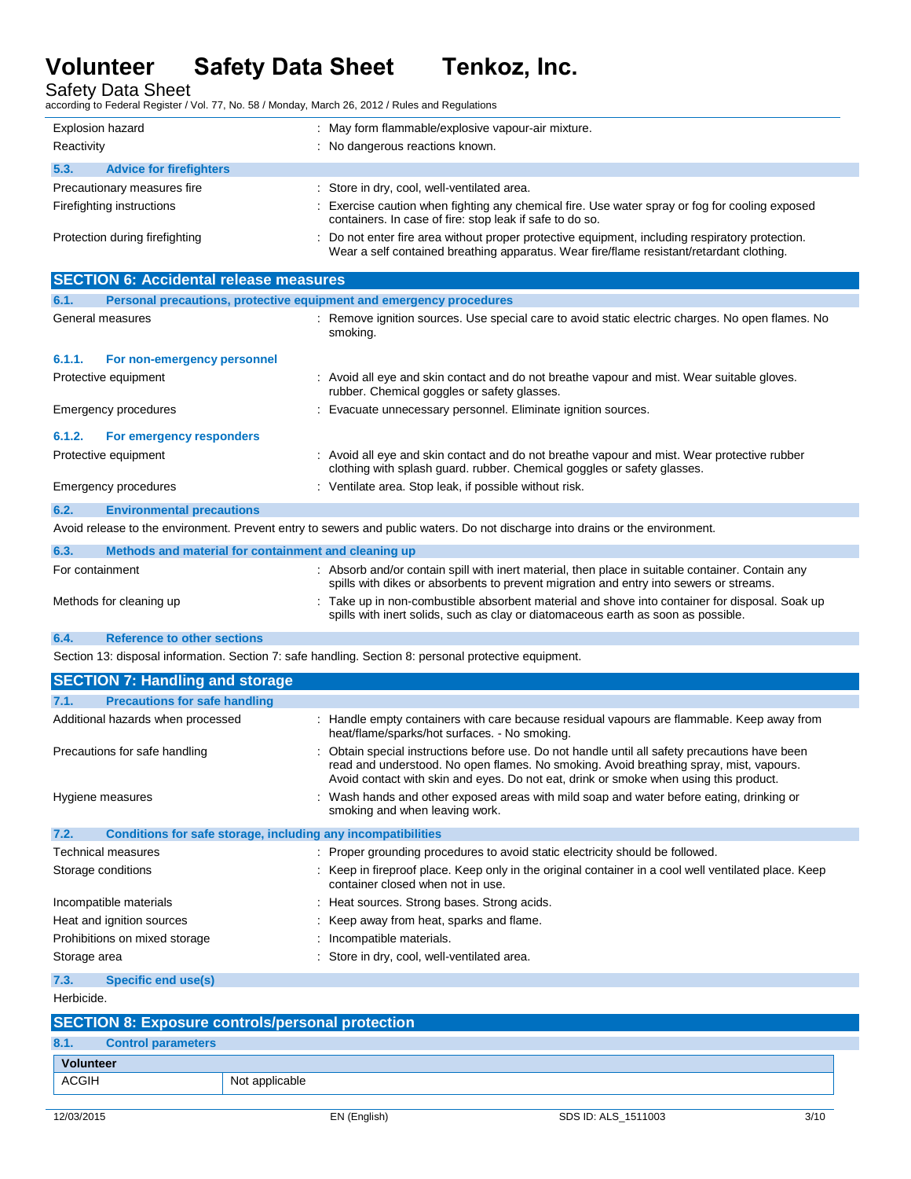Safety Data Sheet according to Federal Register / Vol. 77, No. 58 / Monday, March 26, 2012 / Rules and Regulations

| Explosion hazard<br>Reactivity         | : May form flammable/explosive vapour-air mixture.<br>: No dangerous reactions known.                                                                                                       |
|----------------------------------------|---------------------------------------------------------------------------------------------------------------------------------------------------------------------------------------------|
|                                        |                                                                                                                                                                                             |
| 5.3.<br><b>Advice for firefighters</b> |                                                                                                                                                                                             |
| Precautionary measures fire            | : Store in dry, cool, well-ventilated area.                                                                                                                                                 |
| Firefighting instructions              | : Exercise caution when fighting any chemical fire. Use water spray or fog for cooling exposed<br>containers. In case of fire: stop leak if safe to do so.                                  |
| Protection during firefighting         | : Do not enter fire area without proper protective equipment, including respiratory protection.<br>Wear a self contained breathing apparatus. Wear fire/flame resistant/retardant clothing. |

| <b>SECTION 6: Accidental release measures</b>                                                                                 |                                                                     |                                                                                                                                                                                            |  |
|-------------------------------------------------------------------------------------------------------------------------------|---------------------------------------------------------------------|--------------------------------------------------------------------------------------------------------------------------------------------------------------------------------------------|--|
| 6.1.                                                                                                                          | Personal precautions, protective equipment and emergency procedures |                                                                                                                                                                                            |  |
| General measures                                                                                                              |                                                                     | : Remove ignition sources. Use special care to avoid static electric charges. No open flames. No<br>smoking.                                                                               |  |
| 6.1.1.                                                                                                                        | For non-emergency personnel                                         |                                                                                                                                                                                            |  |
| Protective equipment                                                                                                          |                                                                     | : Avoid all eye and skin contact and do not breathe vapour and mist. Wear suitable gloves.<br>rubber. Chemical goggles or safety glasses.                                                  |  |
|                                                                                                                               | <b>Emergency procedures</b>                                         | : Evacuate unnecessary personnel. Eliminate ignition sources.                                                                                                                              |  |
| 6.1.2.                                                                                                                        | For emergency responders                                            |                                                                                                                                                                                            |  |
| Protective equipment                                                                                                          |                                                                     | : Avoid all eye and skin contact and do not breathe vapour and mist. Wear protective rubber<br>clothing with splash guard. rubber. Chemical goggles or safety glasses.                     |  |
|                                                                                                                               | Emergency procedures                                                | : Ventilate area. Stop leak, if possible without risk.                                                                                                                                     |  |
| 6.2.                                                                                                                          | <b>Environmental precautions</b>                                    |                                                                                                                                                                                            |  |
| Avoid release to the environment. Prevent entry to sewers and public waters. Do not discharge into drains or the environment. |                                                                     |                                                                                                                                                                                            |  |
| 6.3.                                                                                                                          | Methods and material for containment and cleaning up                |                                                                                                                                                                                            |  |
| For containment                                                                                                               |                                                                     | : Absorb and/or contain spill with inert material, then place in suitable container. Contain any<br>spills with dikes or absorbents to prevent migration and entry into sewers or streams. |  |
|                                                                                                                               | Methods for cleaning up                                             | : Take up in non-combustible absorbent material and shove into container for disposal. Soak up<br>spills with inert solids, such as clay or diatomaceous earth as soon as possible.        |  |
| 6.4.                                                                                                                          | <b>Reference to other sections</b>                                  |                                                                                                                                                                                            |  |
| Section 13: disposal information. Section 7: safe handling. Section 8: personal protective equipment.                         |                                                                     |                                                                                                                                                                                            |  |

| <b>SECTION 7: Handling and storage</b>                               |                                                                                                                                                                                                                                                                                   |  |
|----------------------------------------------------------------------|-----------------------------------------------------------------------------------------------------------------------------------------------------------------------------------------------------------------------------------------------------------------------------------|--|
| <b>Precautions for safe handling</b><br>7.1.                         |                                                                                                                                                                                                                                                                                   |  |
| Additional hazards when processed                                    | : Handle empty containers with care because residual vapours are flammable. Keep away from<br>heat/flame/sparks/hot surfaces. - No smoking.                                                                                                                                       |  |
| Precautions for safe handling                                        | : Obtain special instructions before use. Do not handle until all safety precautions have been<br>read and understood. No open flames. No smoking. Avoid breathing spray, mist, vapours.<br>Avoid contact with skin and eyes. Do not eat, drink or smoke when using this product. |  |
| Hygiene measures                                                     | : Wash hands and other exposed areas with mild soap and water before eating, drinking or<br>smoking and when leaving work.                                                                                                                                                        |  |
| 7.2.<br>Conditions for safe storage, including any incompatibilities |                                                                                                                                                                                                                                                                                   |  |
| Technical measures                                                   | : Proper grounding procedures to avoid static electricity should be followed.                                                                                                                                                                                                     |  |
| Storage conditions                                                   | : Keep in fireproof place. Keep only in the original container in a cool well ventilated place. Keep<br>container closed when not in use.                                                                                                                                         |  |
| Incompatible materials                                               | : Heat sources. Strong bases. Strong acids.                                                                                                                                                                                                                                       |  |
| Heat and ignition sources                                            | : Keep away from heat, sparks and flame.                                                                                                                                                                                                                                          |  |
| Prohibitions on mixed storage                                        | : Incompatible materials.                                                                                                                                                                                                                                                         |  |
| Storage area                                                         | : Store in dry, cool, well-ventilated area.                                                                                                                                                                                                                                       |  |
| <b>Specific end use(s)</b><br>7.3.                                   |                                                                                                                                                                                                                                                                                   |  |
| Herbicide.                                                           |                                                                                                                                                                                                                                                                                   |  |

| <b>SECTION 8: Exposure controls/personal protection</b> |                |                     |      |
|---------------------------------------------------------|----------------|---------------------|------|
| <b>Control parameters</b><br>8.1.                       |                |                     |      |
| <b>Volunteer</b>                                        |                |                     |      |
| ACGIH                                                   | Not applicable |                     |      |
|                                                         |                |                     |      |
| 12/03/2015                                              | EN (English)   | SDS ID: ALS 1511003 | 3/10 |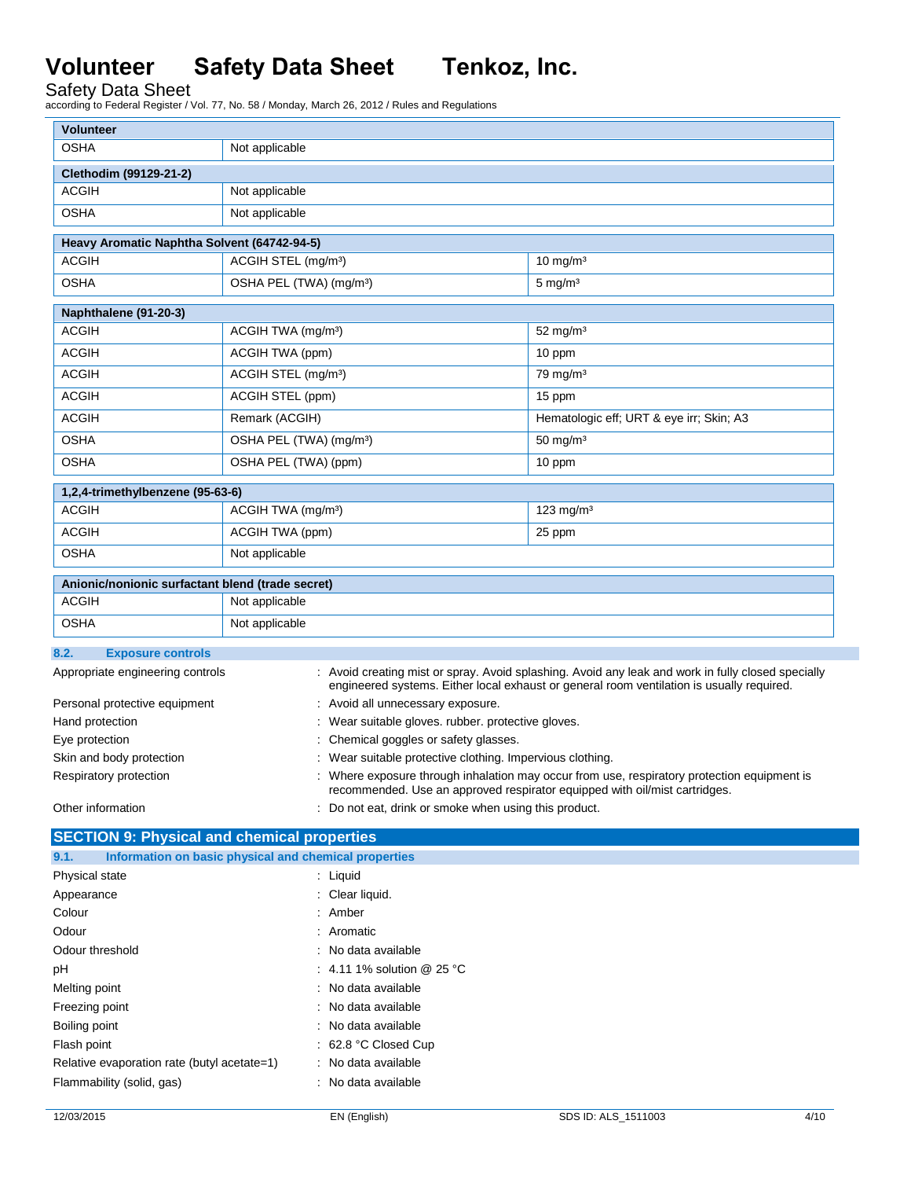Safety Data Sheet according to Federal Register / Vol. 77, No. 58 / Monday, March 26, 2012 / Rules and Regulations

| <b>Volunteer</b>                                                                                                       |                                                                                                                                                                           |                                   |                                                                                                                                                                                                 |
|------------------------------------------------------------------------------------------------------------------------|---------------------------------------------------------------------------------------------------------------------------------------------------------------------------|-----------------------------------|-------------------------------------------------------------------------------------------------------------------------------------------------------------------------------------------------|
| <b>OSHA</b>                                                                                                            | Not applicable                                                                                                                                                            |                                   |                                                                                                                                                                                                 |
| Clethodim (99129-21-2)                                                                                                 |                                                                                                                                                                           |                                   |                                                                                                                                                                                                 |
| <b>ACGIH</b>                                                                                                           | Not applicable                                                                                                                                                            |                                   |                                                                                                                                                                                                 |
| <b>OSHA</b>                                                                                                            | Not applicable                                                                                                                                                            |                                   |                                                                                                                                                                                                 |
| Heavy Aromatic Naphtha Solvent (64742-94-5)                                                                            |                                                                                                                                                                           |                                   |                                                                                                                                                                                                 |
| <b>ACGIH</b>                                                                                                           | ACGIH STEL (mg/m <sup>3</sup> )                                                                                                                                           |                                   | $10$ mg/m <sup>3</sup>                                                                                                                                                                          |
| <b>OSHA</b>                                                                                                            | OSHA PEL (TWA) (mg/m <sup>3</sup> )                                                                                                                                       |                                   | $5 \text{ mg/m}^3$                                                                                                                                                                              |
| Naphthalene (91-20-3)                                                                                                  |                                                                                                                                                                           |                                   |                                                                                                                                                                                                 |
| <b>ACGIH</b>                                                                                                           | ACGIH TWA (mg/m <sup>3</sup> )                                                                                                                                            |                                   | $52 \text{ mg/m}^3$                                                                                                                                                                             |
| <b>ACGIH</b>                                                                                                           | ACGIH TWA (ppm)                                                                                                                                                           |                                   | 10 ppm                                                                                                                                                                                          |
| <b>ACGIH</b>                                                                                                           | ACGIH STEL (mg/m <sup>3</sup> )                                                                                                                                           |                                   | $79 \text{ mg/m}^3$                                                                                                                                                                             |
| <b>ACGIH</b>                                                                                                           | ACGIH STEL (ppm)                                                                                                                                                          |                                   | 15 ppm                                                                                                                                                                                          |
| <b>ACGIH</b>                                                                                                           | Remark (ACGIH)                                                                                                                                                            |                                   | Hematologic eff; URT & eye irr; Skin; A3                                                                                                                                                        |
| <b>OSHA</b>                                                                                                            | OSHA PEL (TWA) (mg/m <sup>3</sup> )                                                                                                                                       |                                   | $50 \text{ mg/m}^3$                                                                                                                                                                             |
| <b>OSHA</b>                                                                                                            | OSHA PEL (TWA) (ppm)                                                                                                                                                      |                                   | 10 ppm                                                                                                                                                                                          |
|                                                                                                                        |                                                                                                                                                                           |                                   |                                                                                                                                                                                                 |
| 1,2,4-trimethylbenzene (95-63-6)<br><b>ACGIH</b>                                                                       | ACGIH TWA (mg/m <sup>3</sup> )                                                                                                                                            |                                   | $123$ mg/m <sup>3</sup>                                                                                                                                                                         |
|                                                                                                                        |                                                                                                                                                                           |                                   |                                                                                                                                                                                                 |
| <b>ACGIH</b>                                                                                                           | ACGIH TWA (ppm)<br>25 ppm                                                                                                                                                 |                                   |                                                                                                                                                                                                 |
| <b>OSHA</b><br>Not applicable                                                                                          |                                                                                                                                                                           |                                   |                                                                                                                                                                                                 |
| Anionic/nonionic surfactant blend (trade secret)                                                                       |                                                                                                                                                                           |                                   |                                                                                                                                                                                                 |
| <b>ACGIH</b>                                                                                                           | Not applicable                                                                                                                                                            |                                   |                                                                                                                                                                                                 |
| <b>OSHA</b>                                                                                                            | Not applicable                                                                                                                                                            |                                   |                                                                                                                                                                                                 |
| 8.2.<br><b>Exposure controls</b>                                                                                       |                                                                                                                                                                           |                                   |                                                                                                                                                                                                 |
| Appropriate engineering controls                                                                                       |                                                                                                                                                                           |                                   | : Avoid creating mist or spray. Avoid splashing. Avoid any leak and work in fully closed specially<br>engineered systems. Either local exhaust or general room ventilation is usually required. |
| Personal protective equipment                                                                                          |                                                                                                                                                                           | : Avoid all unnecessary exposure. |                                                                                                                                                                                                 |
| Hand protection                                                                                                        | : Wear suitable gloves. rubber. protective gloves.                                                                                                                        |                                   |                                                                                                                                                                                                 |
| Eye protection                                                                                                         | Chemical goggles or safety glasses.                                                                                                                                       |                                   |                                                                                                                                                                                                 |
| Skin and body protection                                                                                               | Wear suitable protective clothing. Impervious clothing.                                                                                                                   |                                   |                                                                                                                                                                                                 |
| Respiratory protection                                                                                                 | : Where exposure through inhalation may occur from use, respiratory protection equipment is<br>recommended. Use an approved respirator equipped with oil/mist cartridges. |                                   |                                                                                                                                                                                                 |
| Other information                                                                                                      | : Do not eat, drink or smoke when using this product.                                                                                                                     |                                   |                                                                                                                                                                                                 |
| <b>SECTION 9: Physical and chemical properties</b>                                                                     |                                                                                                                                                                           |                                   |                                                                                                                                                                                                 |
| 9.1.<br>Information on basic physical and chemical properties                                                          |                                                                                                                                                                           |                                   |                                                                                                                                                                                                 |
| Physical state                                                                                                         |                                                                                                                                                                           | : Liquid                          |                                                                                                                                                                                                 |
| Appearance                                                                                                             |                                                                                                                                                                           | : Clear liquid.                   |                                                                                                                                                                                                 |
| Colour                                                                                                                 |                                                                                                                                                                           | : Amber                           |                                                                                                                                                                                                 |
| Odour                                                                                                                  |                                                                                                                                                                           | : Aromatic                        |                                                                                                                                                                                                 |
| Odour threshold                                                                                                        |                                                                                                                                                                           | : No data available               |                                                                                                                                                                                                 |
| pH                                                                                                                     | : 4.11 1% solution @ 25 °C                                                                                                                                                |                                   |                                                                                                                                                                                                 |
|                                                                                                                        | : No data available<br>Melting point                                                                                                                                      |                                   |                                                                                                                                                                                                 |
| Freezing point                                                                                                         |                                                                                                                                                                           | : No data available               |                                                                                                                                                                                                 |
| Boiling point                                                                                                          |                                                                                                                                                                           | : No data available               |                                                                                                                                                                                                 |
| Flash point<br>: 62.8 °C Closed Cup                                                                                    |                                                                                                                                                                           |                                   |                                                                                                                                                                                                 |
| : No data available<br>Relative evaporation rate (butyl acetate=1)<br>Flammability (solid, gas)<br>: No data available |                                                                                                                                                                           |                                   |                                                                                                                                                                                                 |
|                                                                                                                        |                                                                                                                                                                           |                                   |                                                                                                                                                                                                 |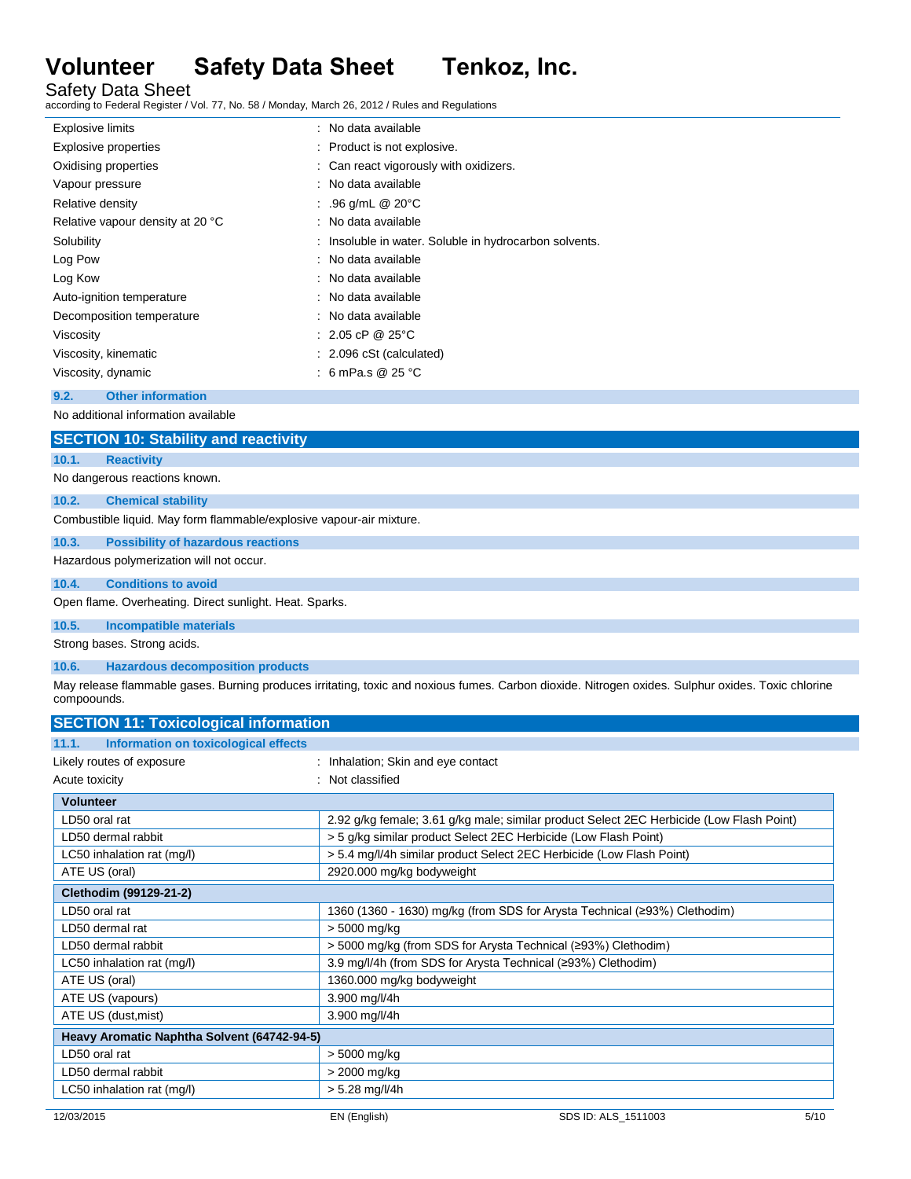Safety Data Sheet

according to Federal Register / Vol. 77, No. 58 / Monday, March 26, 2012 / Rules and Regulations

| <b>Explosive limits</b>          | : No data available                                    |
|----------------------------------|--------------------------------------------------------|
| <b>Explosive properties</b>      | : Product is not explosive.                            |
| Oxidising properties             | : Can react vigorously with oxidizers.                 |
| Vapour pressure                  | : No data available                                    |
| Relative density                 | : .96 g/mL $@$ 20 $°C$                                 |
| Relative vapour density at 20 °C | : No data available                                    |
| Solubility                       | : Insoluble in water. Soluble in hydrocarbon solvents. |
| Log Pow                          | : No data available                                    |
| Log Kow                          | : No data available                                    |
| Auto-ignition temperature        | : No data available                                    |
| Decomposition temperature        | : No data available                                    |
| Viscosity                        | : 2.05 cP @ 25 °C                                      |
| Viscosity, kinematic             | : 2.096 cSt (calculated)                               |
| Viscosity, dynamic               | : 6 mPa.s @ 25 °C                                      |
| 9.2.<br><b>Other information</b> |                                                        |

No additional information available

# **SECTION 10: Stability and reactivity**

# **10.1. Reactivity**

No dangerous reactions known.

# **10.2. Chemical stability**

Combustible liquid. May form flammable/explosive vapour-air mixture.

# **10.3. Possibility of hazardous reactions**

Hazardous polymerization will not occur.

# **10.4. Conditions to avoid**

Open flame. Overheating. Direct sunlight. Heat. Sparks.

# **10.5. Incompatible materials**

Strong bases. Strong acids.

### **10.6. Hazardous decomposition products**

May release flammable gases. Burning produces irritating, toxic and noxious fumes. Carbon dioxide. Nitrogen oxides. Sulphur oxides. Toxic chlorine compoounds.

| <b>SECTION 11: Toxicological information</b>  |                                                                                          |
|-----------------------------------------------|------------------------------------------------------------------------------------------|
| Information on toxicological effects<br>11.1. |                                                                                          |
| Likely routes of exposure                     | : Inhalation; Skin and eye contact                                                       |
| Acute toxicity                                | : Not classified                                                                         |
| <b>Volunteer</b>                              |                                                                                          |
| LD50 oral rat                                 | 2.92 g/kg female; 3.61 g/kg male; similar product Select 2EC Herbicide (Low Flash Point) |
| LD50 dermal rabbit                            | > 5 g/kg similar product Select 2EC Herbicide (Low Flash Point)                          |
| LC50 inhalation rat (mg/l)                    | > 5.4 mg/l/4h similar product Select 2EC Herbicide (Low Flash Point)                     |
| ATE US (oral)                                 | 2920.000 mg/kg bodyweight                                                                |
| Clethodim (99129-21-2)                        |                                                                                          |
| LD50 oral rat                                 | 1360 (1360 - 1630) mg/kg (from SDS for Arysta Technical (≥93%) Clethodim)                |
| LD50 dermal rat                               | > 5000 mg/kg                                                                             |
| LD50 dermal rabbit                            | > 5000 mg/kg (from SDS for Arysta Technical (≥93%) Clethodim)                            |
| LC50 inhalation rat (mg/l)                    | 3.9 mg/l/4h (from SDS for Arysta Technical (293%) Clethodim)                             |
| ATE US (oral)                                 | 1360.000 mg/kg bodyweight                                                                |
| ATE US (vapours)                              | 3.900 mg/l/4h                                                                            |
| ATE US (dust, mist)                           | 3.900 mg/l/4h                                                                            |
| Heavy Aromatic Naphtha Solvent (64742-94-5)   |                                                                                          |
| LD50 oral rat                                 | > 5000 mg/kg                                                                             |
| LD50 dermal rabbit                            | > 2000 mg/kg                                                                             |
| LC50 inhalation rat (mg/l)                    | $> 5.28$ mg/l/4h                                                                         |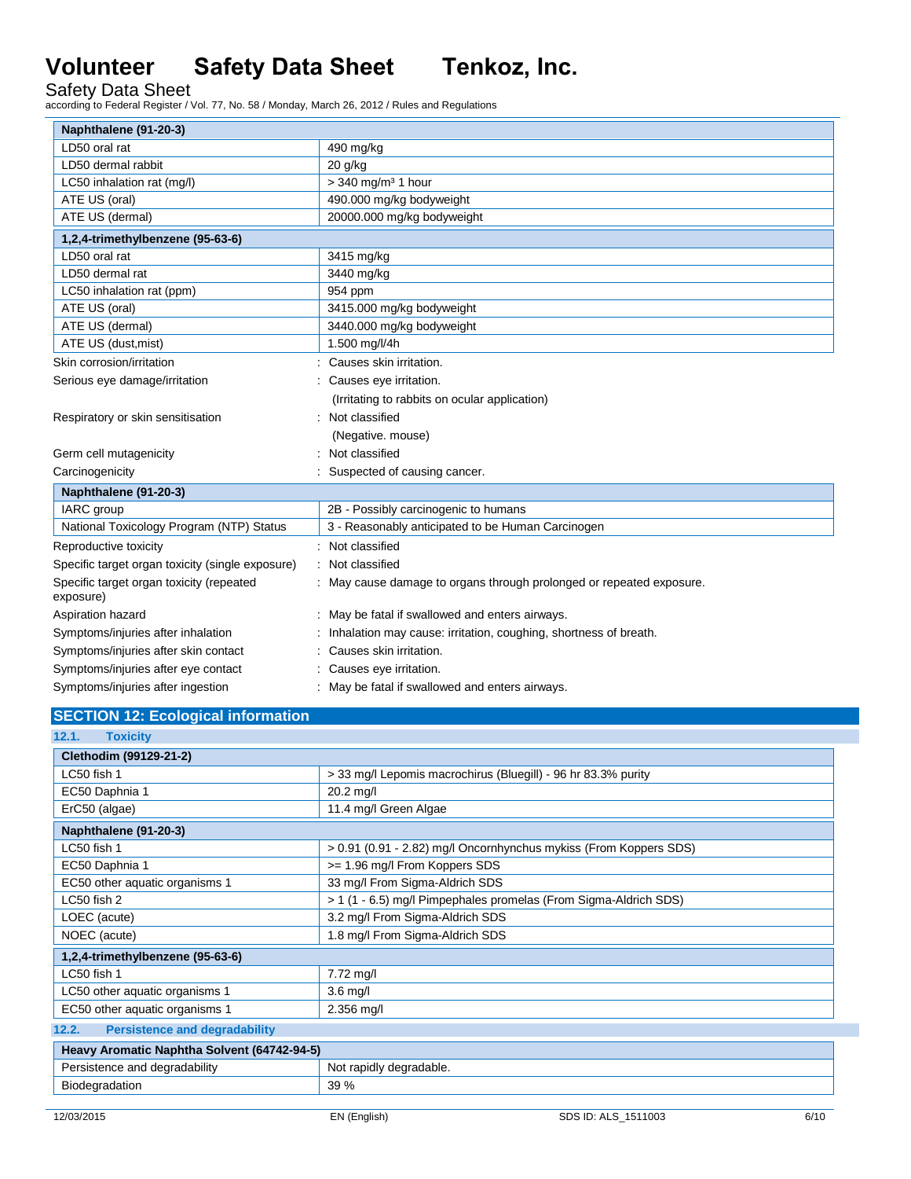Safety Data Sheet according to Federal Register / Vol. 77, No. 58 / Monday, March 26, 2012 / Rules and Regulations

| Naphthalene (91-20-3)                                 |                                                                      |
|-------------------------------------------------------|----------------------------------------------------------------------|
| LD50 oral rat                                         | 490 mg/kg                                                            |
| LD50 dermal rabbit                                    | $20$ g/kg                                                            |
| LC50 inhalation rat (mg/l)                            | $>$ 340 mg/m <sup>3</sup> 1 hour                                     |
| ATE US (oral)                                         | 490.000 mg/kg bodyweight                                             |
| ATE US (dermal)                                       | 20000.000 mg/kg bodyweight                                           |
| 1,2,4-trimethylbenzene (95-63-6)                      |                                                                      |
| LD50 oral rat                                         | 3415 mg/kg                                                           |
| LD50 dermal rat                                       | 3440 mg/kg                                                           |
| LC50 inhalation rat (ppm)                             | 954 ppm                                                              |
| ATE US (oral)                                         | 3415.000 mg/kg bodyweight                                            |
| ATE US (dermal)                                       | 3440.000 mg/kg bodyweight                                            |
| ATE US (dust, mist)                                   | 1.500 mg/l/4h                                                        |
| Skin corrosion/irritation                             | Causes skin irritation.                                              |
| Serious eye damage/irritation                         | Causes eye irritation.                                               |
|                                                       | (Irritating to rabbits on ocular application)                        |
| Respiratory or skin sensitisation                     | Not classified                                                       |
|                                                       | (Negative. mouse)                                                    |
| Germ cell mutagenicity                                | Not classified                                                       |
| Carcinogenicity                                       | Suspected of causing cancer.                                         |
| Naphthalene (91-20-3)                                 |                                                                      |
| <b>IARC</b> group                                     | 2B - Possibly carcinogenic to humans                                 |
| National Toxicology Program (NTP) Status              | 3 - Reasonably anticipated to be Human Carcinogen                    |
| Reproductive toxicity                                 | Not classified<br>÷.                                                 |
| Specific target organ toxicity (single exposure)      | Not classified                                                       |
| Specific target organ toxicity (repeated<br>exposure) | : May cause damage to organs through prolonged or repeated exposure. |
| Aspiration hazard                                     | May be fatal if swallowed and enters airways.                        |
| Symptoms/injuries after inhalation                    | Inhalation may cause: irritation, coughing, shortness of breath.     |
| Symptoms/injuries after skin contact                  | Causes skin irritation.                                              |
| Symptoms/injuries after eye contact                   | Causes eye irritation.                                               |
| Symptoms/injuries after ingestion                     | May be fatal if swallowed and enters airways.                        |

# **SECTION 12: Ecological information**

| 12.1.<br>Toxicity                             |                                                                   |  |  |  |
|-----------------------------------------------|-------------------------------------------------------------------|--|--|--|
| Clethodim (99129-21-2)                        |                                                                   |  |  |  |
| LC50 fish 1                                   | > 33 mg/l Lepomis macrochirus (Bluegill) - 96 hr 83.3% purity     |  |  |  |
| EC50 Daphnia 1                                | $20.2$ mg/l                                                       |  |  |  |
| ErC50 (algae)                                 | 11.4 mg/l Green Algae                                             |  |  |  |
| Naphthalene (91-20-3)                         |                                                                   |  |  |  |
| LC50 fish 1                                   | > 0.91 (0.91 - 2.82) mg/l Oncornhynchus mykiss (From Koppers SDS) |  |  |  |
| EC50 Daphnia 1                                | >= 1.96 mg/l From Koppers SDS                                     |  |  |  |
| EC50 other aquatic organisms 1                | 33 mg/l From Sigma-Aldrich SDS                                    |  |  |  |
| LC50 fish 2                                   | > 1 (1 - 6.5) mg/l Pimpephales promelas (From Sigma-Aldrich SDS)  |  |  |  |
| LOEC (acute)                                  | 3.2 mg/l From Sigma-Aldrich SDS                                   |  |  |  |
| NOEC (acute)                                  | 1.8 mg/l From Sigma-Aldrich SDS                                   |  |  |  |
| 1,2,4-trimethylbenzene (95-63-6)              |                                                                   |  |  |  |
| LC50 fish 1                                   | $7.72$ mg/l                                                       |  |  |  |
| LC50 other aquatic organisms 1                | $3.6$ mg/l                                                        |  |  |  |
| EC50 other aquatic organisms 1                | $2.356$ mg/l                                                      |  |  |  |
| <b>Persistence and degradability</b><br>12.2. |                                                                   |  |  |  |
| Heavy Aromatic Naphtha Solvent (64742-94-5)   |                                                                   |  |  |  |
| Persistence and degradability                 | Not rapidly degradable.                                           |  |  |  |
| Biodegradation                                | 39 %                                                              |  |  |  |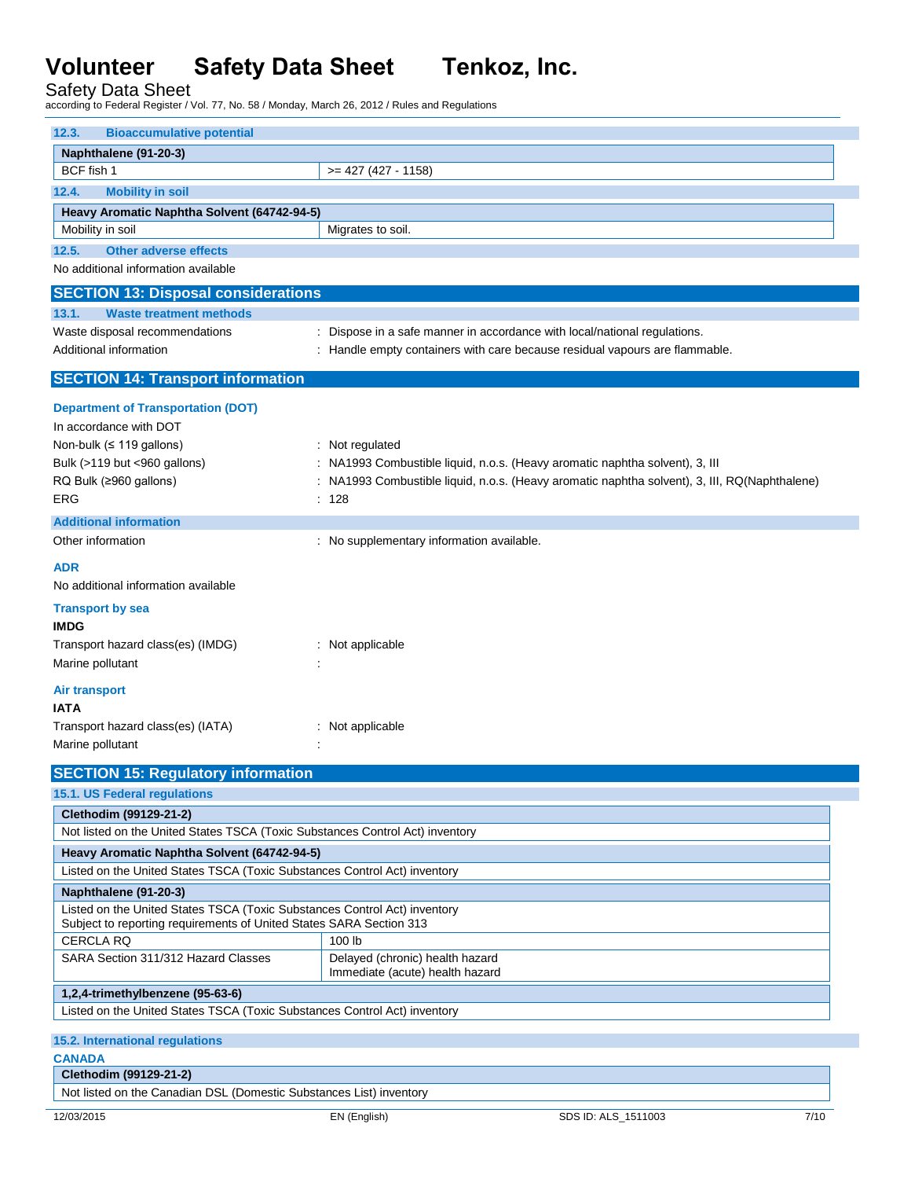Safety Data Sheet according to Federal Register / Vol. 77, No. 58 / Monday, March 26, 2012 / Rules and Regulations

| <b>Bioaccumulative potential</b><br>12.3.                                     |                                                                                                        |  |  |  |
|-------------------------------------------------------------------------------|--------------------------------------------------------------------------------------------------------|--|--|--|
| Naphthalene (91-20-3)                                                         |                                                                                                        |  |  |  |
| BCF fish 1                                                                    | $>= 427 (427 - 1158)$                                                                                  |  |  |  |
| <b>Mobility in soil</b><br>12.4.                                              |                                                                                                        |  |  |  |
| Heavy Aromatic Naphtha Solvent (64742-94-5)                                   |                                                                                                        |  |  |  |
| Mobility in soil                                                              | Migrates to soil.                                                                                      |  |  |  |
| <b>Other adverse effects</b><br>12.5.                                         |                                                                                                        |  |  |  |
| No additional information available                                           |                                                                                                        |  |  |  |
| <b>SECTION 13: Disposal considerations</b>                                    |                                                                                                        |  |  |  |
| <b>Waste treatment methods</b><br>13.1.                                       |                                                                                                        |  |  |  |
| Waste disposal recommendations                                                | : Dispose in a safe manner in accordance with local/national regulations.                              |  |  |  |
| Additional information                                                        | : Handle empty containers with care because residual vapours are flammable.                            |  |  |  |
| <b>SECTION 14: Transport information</b>                                      |                                                                                                        |  |  |  |
|                                                                               |                                                                                                        |  |  |  |
| <b>Department of Transportation (DOT)</b>                                     |                                                                                                        |  |  |  |
| In accordance with DOT                                                        |                                                                                                        |  |  |  |
| Non-bulk (≤ 119 gallons)                                                      | : Not regulated                                                                                        |  |  |  |
| Bulk (>119 but <960 gallons)                                                  | : NA1993 Combustible liquid, n.o.s. (Heavy aromatic naphtha solvent), 3, III                           |  |  |  |
| RQ Bulk (≥960 gallons)<br>ERG                                                 | : NA1993 Combustible liquid, n.o.s. (Heavy aromatic naphtha solvent), 3, III, RQ(Naphthalene)<br>: 128 |  |  |  |
|                                                                               |                                                                                                        |  |  |  |
| <b>Additional information</b>                                                 |                                                                                                        |  |  |  |
| Other information                                                             | : No supplementary information available.                                                              |  |  |  |
| <b>ADR</b>                                                                    |                                                                                                        |  |  |  |
| No additional information available                                           |                                                                                                        |  |  |  |
| <b>Transport by sea</b>                                                       |                                                                                                        |  |  |  |
| <b>IMDG</b>                                                                   |                                                                                                        |  |  |  |
| Transport hazard class(es) (IMDG)                                             | : Not applicable                                                                                       |  |  |  |
| Marine pollutant                                                              |                                                                                                        |  |  |  |
| <b>Air transport</b>                                                          |                                                                                                        |  |  |  |
| <b>IATA</b>                                                                   |                                                                                                        |  |  |  |
| Transport hazard class(es) (IATA)                                             | : Not applicable                                                                                       |  |  |  |
| Marine pollutant                                                              |                                                                                                        |  |  |  |
| <b>SECTION 15: Regulatory information</b>                                     |                                                                                                        |  |  |  |
| 15.1. US Federal regulations                                                  |                                                                                                        |  |  |  |
| Clethodim (99129-21-2)                                                        |                                                                                                        |  |  |  |
| Not listed on the United States TSCA (Toxic Substances Control Act) inventory |                                                                                                        |  |  |  |
| Heavy Aromatic Naphtha Solvent (64742-94-5)                                   |                                                                                                        |  |  |  |
| Listed on the United States TSCA (Toxic Substances Control Act) inventory     |                                                                                                        |  |  |  |
| Naphthalene (91-20-3)                                                         |                                                                                                        |  |  |  |
| Listed on the United States TSCA (Toxic Substances Control Act) inventory     |                                                                                                        |  |  |  |
| Subject to reporting requirements of United States SARA Section 313           |                                                                                                        |  |  |  |
| <b>CERCLA RQ</b>                                                              | 100 lb                                                                                                 |  |  |  |
| SARA Section 311/312 Hazard Classes                                           | Delayed (chronic) health hazard<br>Immediate (acute) health hazard                                     |  |  |  |
| 1,2,4-trimethylbenzene (95-63-6)                                              |                                                                                                        |  |  |  |
| Listed on the United States TSCA (Toxic Substances Control Act) inventory     |                                                                                                        |  |  |  |
| 15.2. International regulations                                               |                                                                                                        |  |  |  |
| <b>CANADA</b>                                                                 |                                                                                                        |  |  |  |
| Clethodim (99129-21-2)                                                        |                                                                                                        |  |  |  |
| Not listed on the Canadian DSL (Domestic Substances List) inventory           |                                                                                                        |  |  |  |
|                                                                               |                                                                                                        |  |  |  |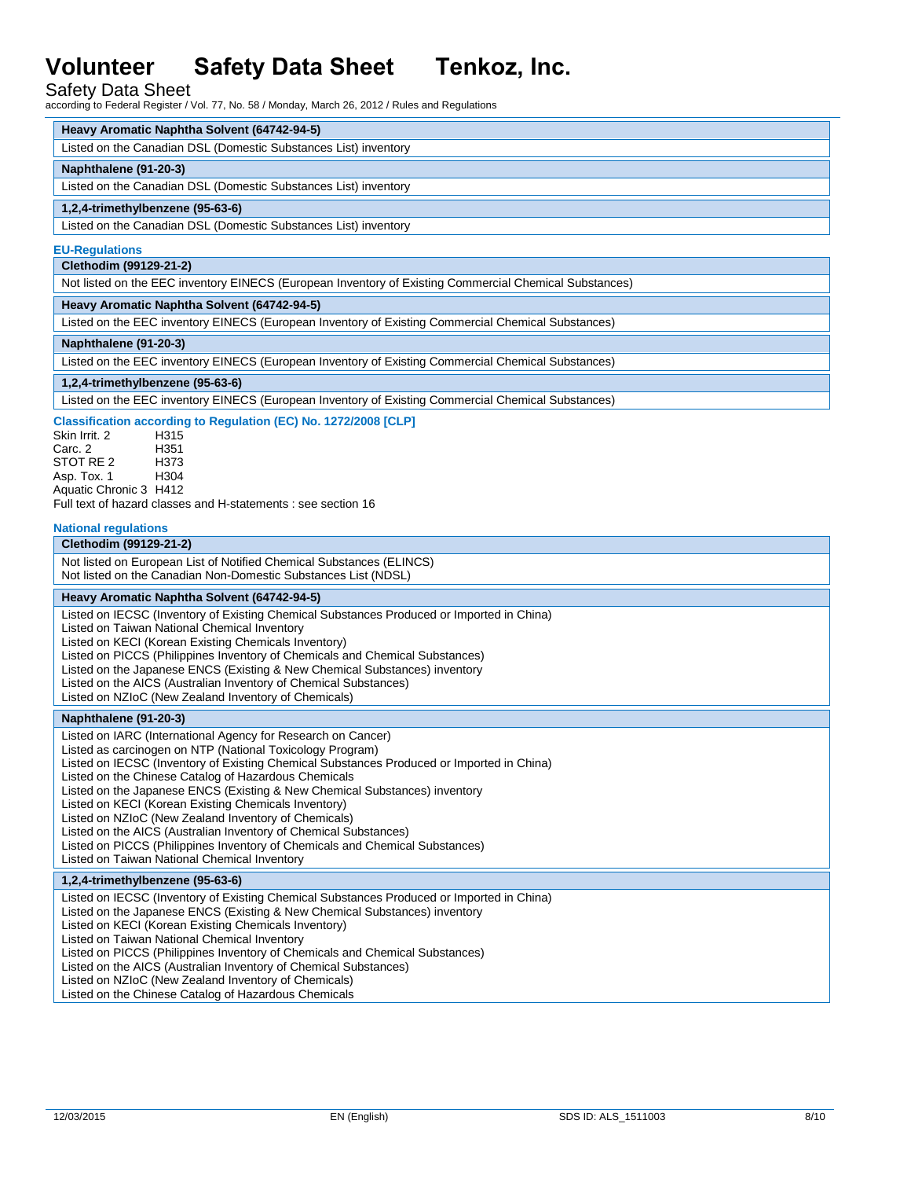# Safety Data Sheet

according to Federal Register / Vol. 77, No. 58 / Monday, March 26, 2012 / Rules and Regulations

### **Heavy Aromatic Naphtha Solvent (64742-94-5)**

| Listed on the Canadian DSL (Domestic Substances List) inventory |
|-----------------------------------------------------------------|
|-----------------------------------------------------------------|

### **Naphthalene (91-20-3)**

Listed on the Canadian DSL (Domestic Substances List) inventory

## **1,2,4-trimethylbenzene (95-63-6)**

Listed on the Canadian DSL (Domestic Substances List) inventory

### **EU-Regulations**

**Clethodim (99129-21-2)**

Not listed on the EEC inventory EINECS (European Inventory of Existing Commercial Chemical Substances)

### **Heavy Aromatic Naphtha Solvent (64742-94-5)**

Listed on the EEC inventory EINECS (European Inventory of Existing Commercial Chemical Substances)

### **Naphthalene (91-20-3)**

Listed on the EEC inventory EINECS (European Inventory of Existing Commercial Chemical Substances)

## **1,2,4-trimethylbenzene (95-63-6)**

Listed on the EEC inventory EINECS (European Inventory of Existing Commercial Chemical Substances)

### **Classification according to Regulation (EC) No. 1272/2008 [CLP]**

Skin Irrit. 2 H315 Carc. 2 STOT RE 2 H373 Asp. Tox. 1 Aquatic Chronic 3 H412

Full text of hazard classes and H-statements : see section 16

#### **National regulations**

### **Clethodim (99129-21-2)**

Not listed on European List of Notified Chemical Substances (ELINCS) Not listed on the Canadian Non-Domestic Substances List (NDSL)

# **Heavy Aromatic Naphtha Solvent (64742-94-5)**

Listed on IECSC (Inventory of Existing Chemical Substances Produced or Imported in China)

Listed on Taiwan National Chemical Inventory

Listed on KECI (Korean Existing Chemicals Inventory)

- Listed on PICCS (Philippines Inventory of Chemicals and Chemical Substances)
- Listed on the Japanese ENCS (Existing & New Chemical Substances) inventory

Listed on the AICS (Australian Inventory of Chemical Substances)

Listed on NZIoC (New Zealand Inventory of Chemicals)

# **Naphthalene (91-20-3)**

Listed on IARC (International Agency for Research on Cancer) Listed as carcinogen on NTP (National Toxicology Program) Listed on IECSC (Inventory of Existing Chemical Substances Produced or Imported in China) Listed on the Chinese Catalog of Hazardous Chemicals Listed on the Japanese ENCS (Existing & New Chemical Substances) inventory Listed on KECI (Korean Existing Chemicals Inventory) Listed on NZIoC (New Zealand Inventory of Chemicals) Listed on the AICS (Australian Inventory of Chemical Substances) Listed on PICCS (Philippines Inventory of Chemicals and Chemical Substances) Listed on Taiwan National Chemical Inventory

### **1,2,4-trimethylbenzene (95-63-6)**

Listed on IECSC (Inventory of Existing Chemical Substances Produced or Imported in China) Listed on the Japanese ENCS (Existing & New Chemical Substances) inventory Listed on KECI (Korean Existing Chemicals Inventory) Listed on Taiwan National Chemical Inventory Listed on PICCS (Philippines Inventory of Chemicals and Chemical Substances) Listed on the AICS (Australian Inventory of Chemical Substances) Listed on NZIoC (New Zealand Inventory of Chemicals) Listed on the Chinese Catalog of Hazardous Chemicals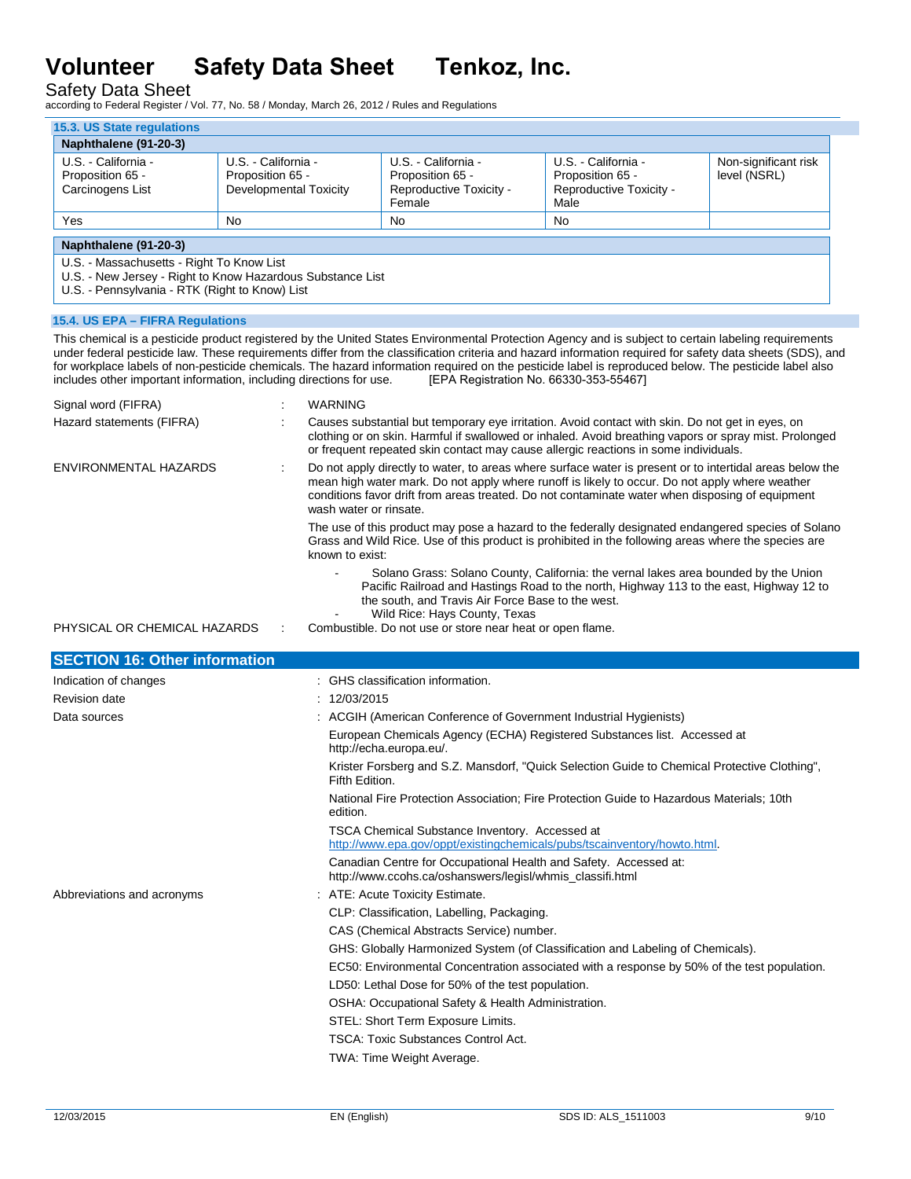Safety Data Sheet

according to Federal Register / Vol. 77, No. 58 / Monday, March 26, 2012 / Rules and Regulations

| U.S. - California -<br>U.S. - California -<br>U.S. - California -<br>Proposition 65 -<br>Proposition 65 -<br>Proposition 65 -<br>Reproductive Toxicity -<br>Carcinogens List<br>Developmental Toxicity<br>Female<br>Yes<br><b>No</b><br>No | U.S. - California -<br>Proposition 65 -<br>Reproductive Toxicity -<br>Male<br>No. | Non-significant risk<br>level (NSRL) |  |  |  |  |
|--------------------------------------------------------------------------------------------------------------------------------------------------------------------------------------------------------------------------------------------|-----------------------------------------------------------------------------------|--------------------------------------|--|--|--|--|
|                                                                                                                                                                                                                                            |                                                                                   |                                      |  |  |  |  |
|                                                                                                                                                                                                                                            |                                                                                   |                                      |  |  |  |  |
| Naphthalene (91-20-3)<br>U.S. - Massachusetts - Right To Know List<br>U.S. - New Jersey - Right to Know Hazardous Substance List<br>U.S. - Pennsylvania - RTK (Right to Know) List                                                         |                                                                                   |                                      |  |  |  |  |

This chemical is a pesticide product registered by the United States Environmental Protection Agency and is subject to certain labeling requirements under federal pesticide law. These requirements differ from the classification criteria and hazard information required for safety data sheets (SDS), and for workplace labels of non-pesticide chemicals. The hazard information required on the pesticide label is reproduced below. The pesticide label also includes other important information, including directions for use. [EPA includes other important information, including directions for use.

| Signal word (FIFRA)                  |  | <b>WARNING</b>                                                                                                                                                                                                                                                                                                                          |
|--------------------------------------|--|-----------------------------------------------------------------------------------------------------------------------------------------------------------------------------------------------------------------------------------------------------------------------------------------------------------------------------------------|
| Hazard statements (FIFRA)            |  | Causes substantial but temporary eye irritation. Avoid contact with skin. Do not get in eyes, on<br>clothing or on skin. Harmful if swallowed or inhaled. Avoid breathing vapors or spray mist. Prolonged<br>or frequent repeated skin contact may cause allergic reactions in some individuals.                                        |
| ENVIRONMENTAL HAZARDS                |  | Do not apply directly to water, to areas where surface water is present or to intertidal areas below the<br>mean high water mark. Do not apply where runoff is likely to occur. Do not apply where weather<br>conditions favor drift from areas treated. Do not contaminate water when disposing of equipment<br>wash water or rinsate. |
|                                      |  | The use of this product may pose a hazard to the federally designated endangered species of Solano<br>Grass and Wild Rice. Use of this product is prohibited in the following areas where the species are<br>known to exist:                                                                                                            |
|                                      |  | Solano Grass: Solano County, California: the vernal lakes area bounded by the Union<br>Pacific Railroad and Hastings Road to the north, Highway 113 to the east, Highway 12 to<br>the south, and Travis Air Force Base to the west.                                                                                                     |
| PHYSICAL OR CHEMICAL HAZARDS         |  | Wild Rice: Hays County, Texas<br>Combustible. Do not use or store near heat or open flame.                                                                                                                                                                                                                                              |
|                                      |  |                                                                                                                                                                                                                                                                                                                                         |
| <b>SECTION 16: Other information</b> |  |                                                                                                                                                                                                                                                                                                                                         |
| Indication of changes                |  | : GHS classification information.                                                                                                                                                                                                                                                                                                       |
| <b>Revision date</b>                 |  | : 12/03/2015                                                                                                                                                                                                                                                                                                                            |
| Data sources                         |  | : ACGIH (American Conference of Government Industrial Hygienists)                                                                                                                                                                                                                                                                       |
|                                      |  | European Chemicals Agency (ECHA) Registered Substances list. Accessed at<br>http://echa.europa.eu/.                                                                                                                                                                                                                                     |
|                                      |  | Krister Forsberg and S.Z. Mansdorf, "Quick Selection Guide to Chemical Protective Clothing",<br>Fifth Edition.                                                                                                                                                                                                                          |
|                                      |  | National Fire Protection Association; Fire Protection Guide to Hazardous Materials; 10th<br>edition.                                                                                                                                                                                                                                    |
|                                      |  | TSCA Chemical Substance Inventory. Accessed at                                                                                                                                                                                                                                                                                          |
|                                      |  | http://www.epa.gov/oppt/existingchemicals/pubs/tscainventory/howto.html.                                                                                                                                                                                                                                                                |
|                                      |  | Canadian Centre for Occupational Health and Safety. Accessed at:<br>http://www.ccohs.ca/oshanswers/legisl/whmis_classifi.html                                                                                                                                                                                                           |
| Abbreviations and acronyms           |  | : ATE: Acute Toxicity Estimate.                                                                                                                                                                                                                                                                                                         |
|                                      |  | CLP: Classification, Labelling, Packaging.                                                                                                                                                                                                                                                                                              |
|                                      |  | CAS (Chemical Abstracts Service) number.                                                                                                                                                                                                                                                                                                |
|                                      |  | GHS: Globally Harmonized System (of Classification and Labeling of Chemicals).                                                                                                                                                                                                                                                          |
|                                      |  | EC50: Environmental Concentration associated with a response by 50% of the test population.                                                                                                                                                                                                                                             |
|                                      |  | LD50: Lethal Dose for 50% of the test population.                                                                                                                                                                                                                                                                                       |
|                                      |  | OSHA: Occupational Safety & Health Administration.                                                                                                                                                                                                                                                                                      |
|                                      |  | STEL: Short Term Exposure Limits.                                                                                                                                                                                                                                                                                                       |
|                                      |  | TSCA: Toxic Substances Control Act.                                                                                                                                                                                                                                                                                                     |
|                                      |  | TWA: Time Weight Average.                                                                                                                                                                                                                                                                                                               |